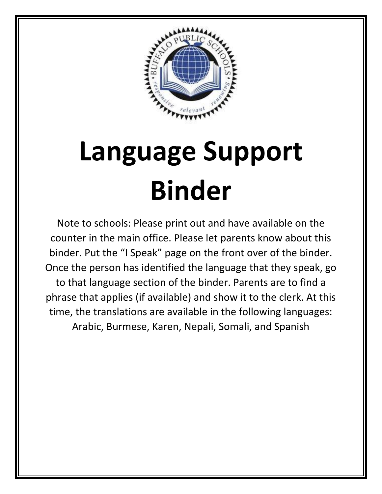

## **Language Support Binder**

Note to schools: Please print out and have available on the counter in the main office. Please let parents know about this binder. Put the "I Speak" page on the front over of the binder. Once the person has identified the language that they speak, go to that language section of the binder. Parents are to find a phrase that applies (if available) and show it to the clerk. At this time, the translations are available in the following languages: Arabic, Burmese, Karen, Nepali, Somali, and Spanish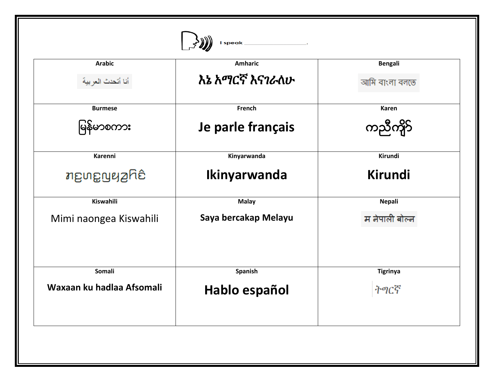| <b>Arabic</b>             | <b>Amharic</b>       | <b>Bengali</b>  |
|---------------------------|----------------------|-----------------|
| أنا أتحدث العربية         | እኔ አማርኛ እናገራለሁ       | আমি বাংলা বলতে  |
| <b>Burmese</b>            | French               | Karen           |
| မြန်မာစကား                | Je parle français    | ကညီကို5်        |
| Karenni                   | Kinyarwanda          | Kirundi         |
| <i>າ</i> ເອນຊາຍ ການ       | Ikinyarwanda         | <b>Kirundi</b>  |
| Kiswahili                 | <b>Malay</b>         | <b>Nepali</b>   |
| Mimi naongea Kiswahili    | Saya bercakap Melayu | म नेपाली बोल्न  |
| Somali                    | Spanish              | <b>Tigrinya</b> |
| Waxaan ku hadlaa Afsomali | Hablo español        | ትግርኛ            |
|                           |                      |                 |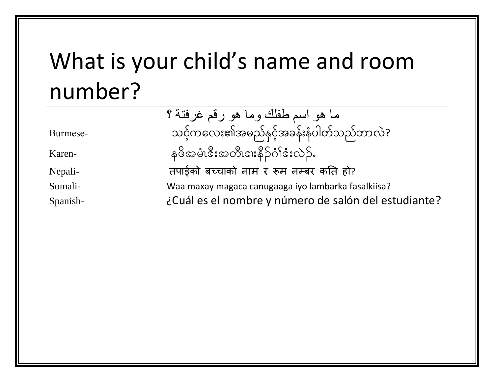## What is your child's name and room number?

|          | ما هو اسم طفلك وما هو رقم غرفتة ؟                    |
|----------|------------------------------------------------------|
| Burmese- | သင့်ကလေး၏အမည်နှင့်အခန်းနံပါတ်သည်ဘာလဲ?                |
| Karen-   | နဖိအမံ၊ဒီးအတီ၊ဒ၊းနိဉ်ဂံၢိဒံးလဲဉ်.                    |
| Nepali-  | तपाईको बच्चाको नाम र रूम नम्बर कति हो?               |
| Somali-  | Waa maxay magaca canugaaga iyo lambarka fasalkiisa?  |
| Spanish- | ¿Cuál es el nombre y número de salón del estudiante? |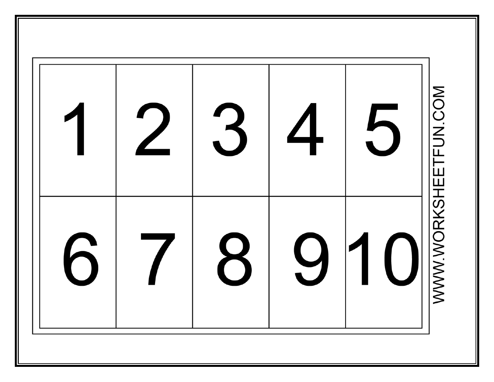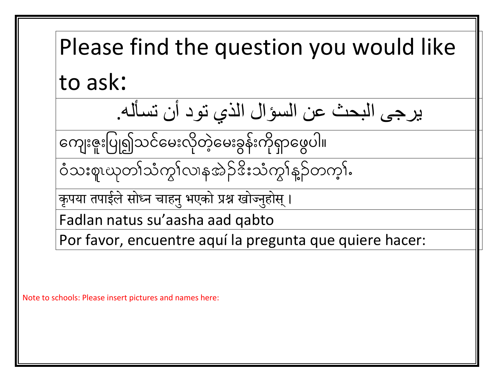Please find the question you would like to ask: يرجى البحث عن السؤال الذي تود أن تسأله. လက ေးဇ ေးပပြု၍သင်လမေးလ ိုတဲ့်လမေးခွန်ေးက ိုရှာလ ွပါ။ 0Ho;plRCkw>oHuG>vXetJ.'d;oHuG>M.wuh>I क ृ पया तपाईलेसोध्न चाहन ुभएको प्रश्न खोज्नहु ोस ् । Fadlan natus su'aasha aad qabto Por favor, encuentre aquí la pregunta que quiere hacer:

Note to schools: Please insert pictures and names here:

Ι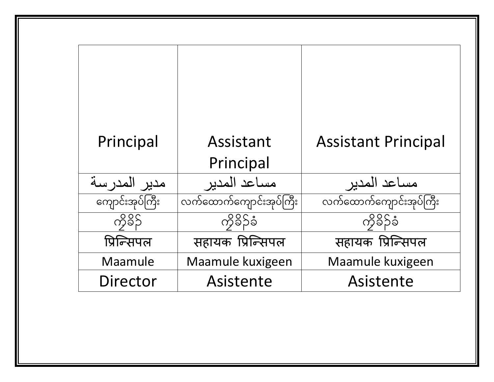| Principal       | Assistant<br>Principal  | <b>Assistant Principal</b> |
|-----------------|-------------------------|----------------------------|
| مدير المدر سة   | مساعد المدبر            | مساعد                      |
| ကျောင်းအုပ်ကြီး | လက်ထောက်ကျောင်းအုပ်ကြီး | လက်ထောက်ကျောင်းအုပ်ကြီး    |
| ကိုခိုင်        | ကိုခိဉ်ခံ               | ကိခိဉ်ခံ                   |
| प्रिन्सिपल      | सहायक प्रिन्सिपल        | सहायक प्रिन्सिपल           |
| Maamule         | Maamule kuxigeen        | Maamule kuxigeen           |
| <b>Director</b> | Asistente               | Asistente                  |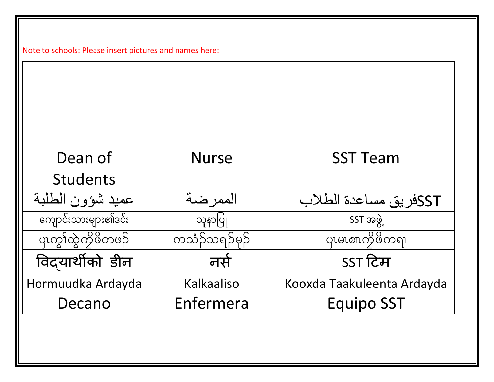| Dean of             | <b>Nurse</b>  | <b>SST Team</b>            |
|---------------------|---------------|----------------------------|
| <b>Students</b>     |               |                            |
| عميد شؤون الطلبة    | الممر ضبة     | SSTفريق مساعدة الطلاب      |
| ကျောင်းသားများ၏ဒင်း | သူနာပြု       | SST အဖွဲ                   |
| ၯၮၟ႞ၯၞၴၮၟႝဖိတၑၣႅ    | ကသံဉ်သရဉ်မှဉ် | ပုပမောက္ခ်ိဖိကၡ၊           |
| विदयार्थीको डीन     | नसे           | SST टिम                    |
| Hormuudka Ardayda   | Kalkaaliso    | Kooxda Taakuleenta Ardayda |
| Decano              | Enfermera     | <b>Equipo SST</b>          |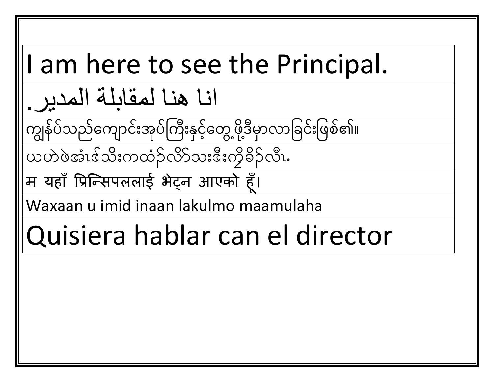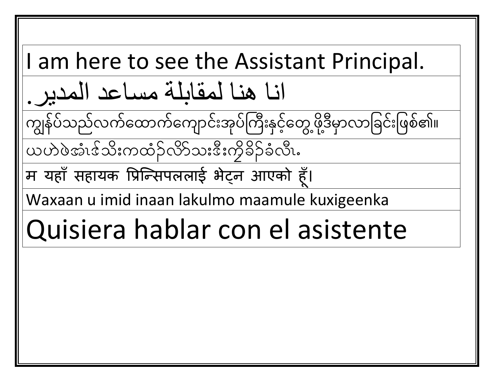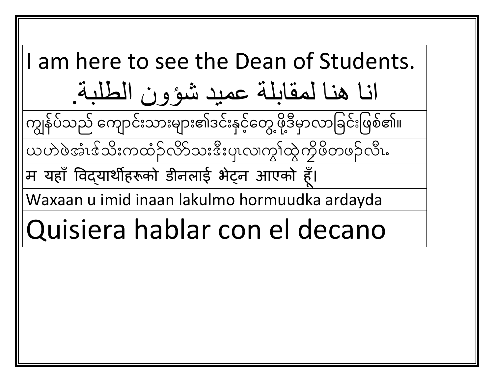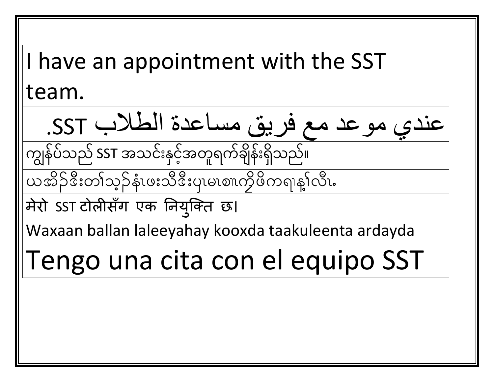I have an appointment with the SST team. عندي موعد مع فريق مساعدة الطالب SST. ကျွန်ပဲသည် SST အသင်းနှင့်အတူရက်ချိန်းရှိသည်။  $\overline{\mathbf{C}}$ ယအိဉ်ဒီးတၢ်သွဉ်နံးဖူးသီဒီးပုံပုမ္ပဏက္ပိဖိကရာန္နႈလီး. मेरो SST टोलीसँग एक नियुक्ति छ। Waxaan ballan laleeyahay kooxda taakuleenta ardayda

## Tengo una cita con el equipo SST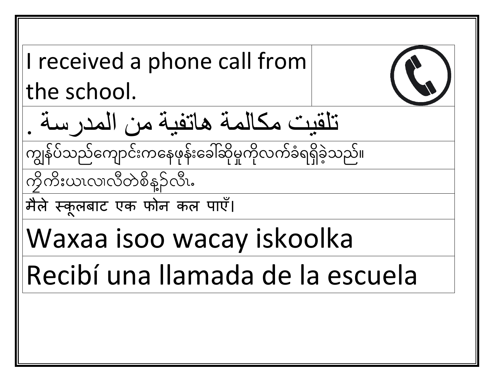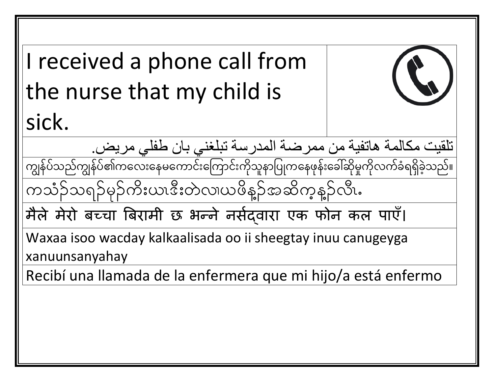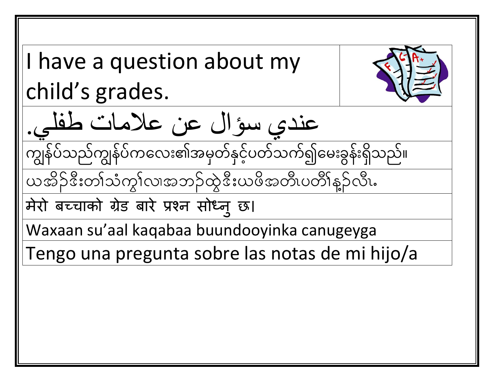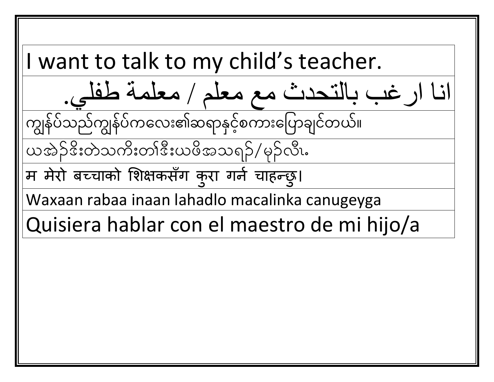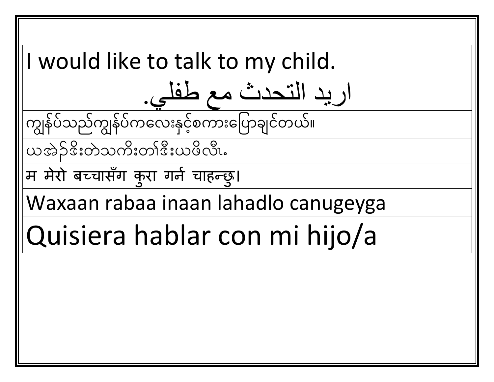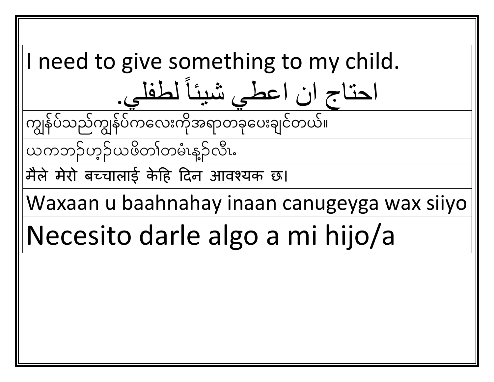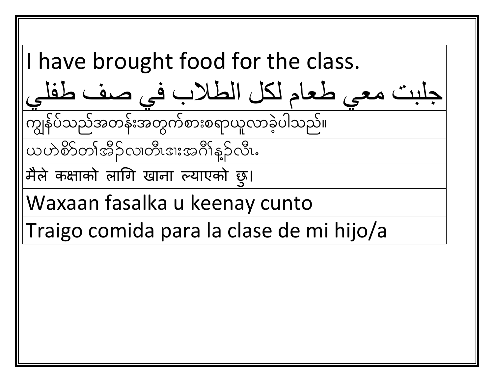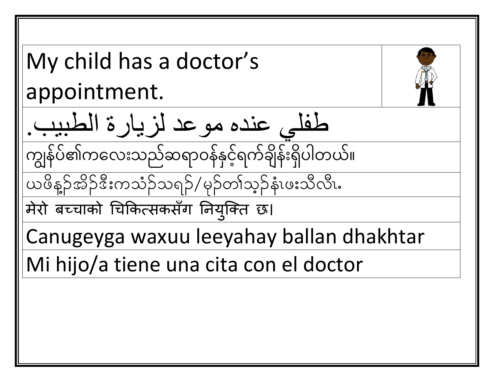My child has a doctor's appointment. طفلي عنده موعد لزيارة الطبيب. ကျွန်ပဲ၏ကလေးသည်ဆရာဝန်နှင့်ရက်ချိန်းရှိပါတယ်။  $\overline{\phantom{a}}$ ယဖိနဉ်အိဉ်ဒီးကသံဉ်သရဉ်/မှဉ်တၢ်သွဉ်နံးဖးသီလီး. मेरो बच्चाको चिकित्सकसँग नियुक्ति छ। Canugeyga waxuu leeyahay ballan dhakhtar Mi hijo/a tiene una cita con el doctor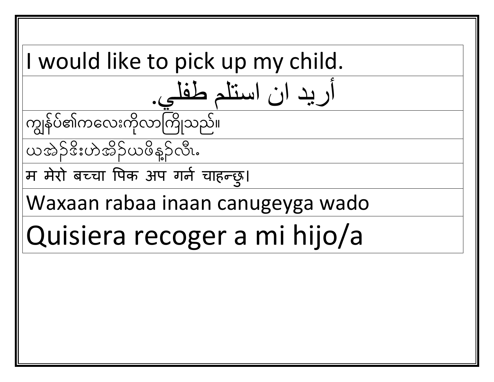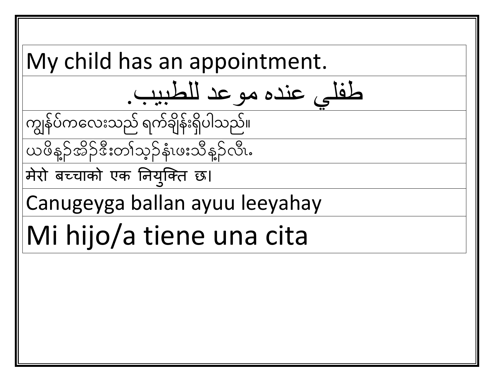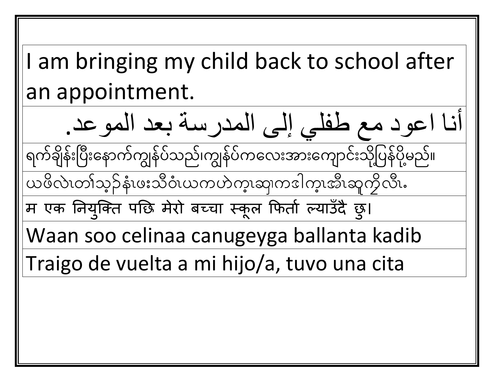I am bringing my child back to school after an appointment.

أنا اعود مع طفلي إلى المدرسة بعد الموعد. ရက်ချိန်းပြီးနောက်ကျွန်ပဲသည်၊ကျွန်ပဲကလေးအားကျောင်းသို့ပြန်ပို့မည်။ ,<br>| ို

ယဖိလဲၤတၢ်သ့ဉ်နံၤဖးသိဝံၤယကဟဲက္၊ဆုကဒါက္၊အီၤဆူကိုလီၤ.

म एक नियुक्ति पछि मेरो बच्चा स्कूल फितो ल्याउँदै छु।

Waan soo celinaa canugeyga ballanta kadib

Traigo de vuelta a mi hijo/a, tuvo una cita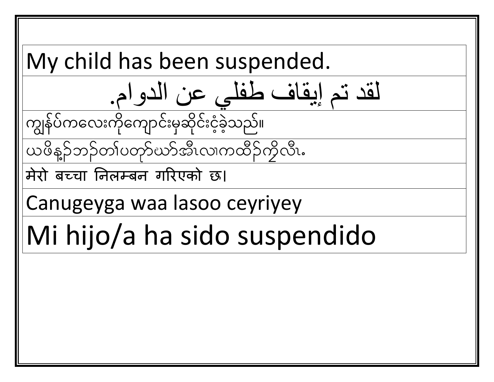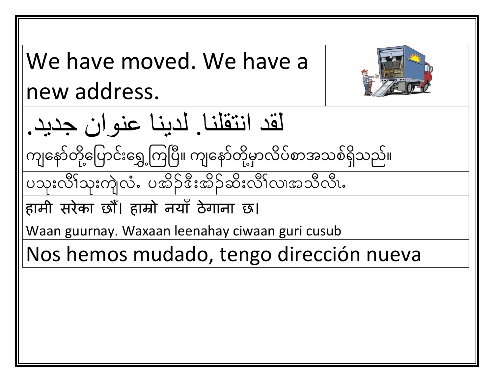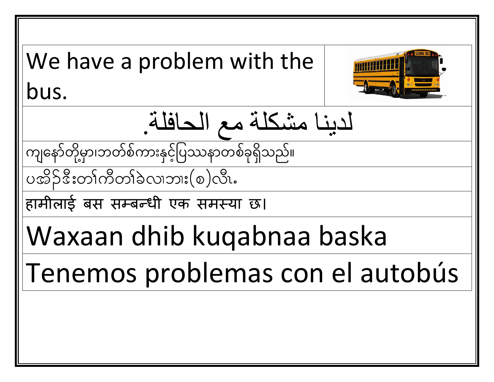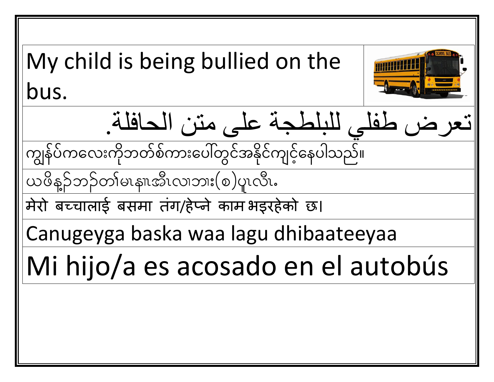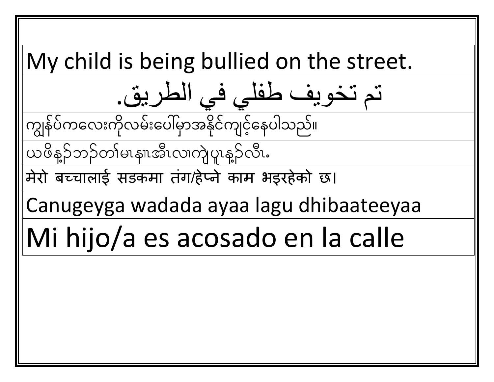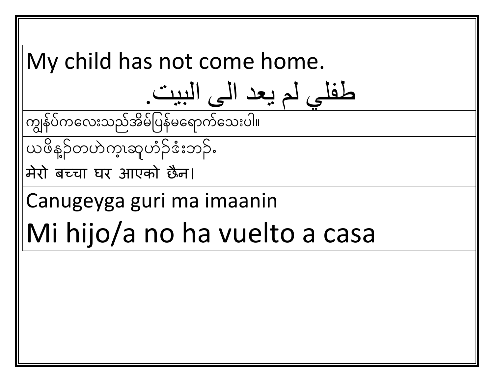